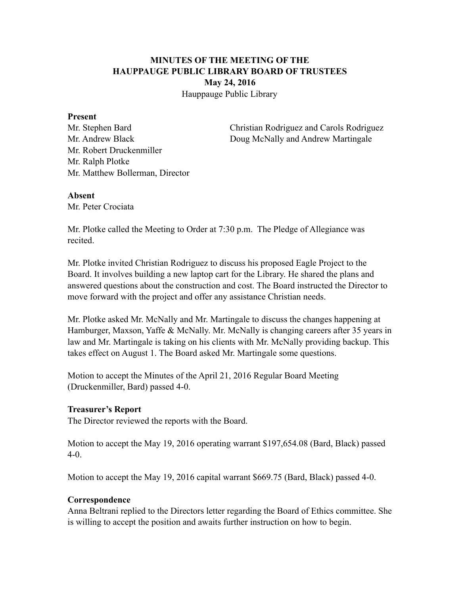# **MINUTES OF THE MEETING OF THE HAUPPAUGE PUBLIC LIBRARY BOARD OF TRUSTEES May 24, 2016**

Hauppauge Public Library

### **Present**

Mr. Robert Druckenmiller Mr. Ralph Plotke Mr. Matthew Bollerman, Director

Mr. Stephen Bard Christian Rodriguez and Carols Rodriguez Mr. Andrew Black Doug McNally and Andrew Martingale

## **Absent**

Mr. Peter Crociata

Mr. Plotke called the Meeting to Order at 7:30 p.m. The Pledge of Allegiance was recited.

Mr. Plotke invited Christian Rodriguez to discuss his proposed Eagle Project to the Board. It involves building a new laptop cart for the Library. He shared the plans and answered questions about the construction and cost. The Board instructed the Director to move forward with the project and offer any assistance Christian needs.

Mr. Plotke asked Mr. McNally and Mr. Martingale to discuss the changes happening at Hamburger, Maxson, Yaffe & McNally. Mr. McNally is changing careers after 35 years in law and Mr. Martingale is taking on his clients with Mr. McNally providing backup. This takes effect on August 1. The Board asked Mr. Martingale some questions.

Motion to accept the Minutes of the April 21, 2016 Regular Board Meeting (Druckenmiller, Bard) passed 4-0.

# **Treasurer's Report**

The Director reviewed the reports with the Board.

Motion to accept the May 19, 2016 operating warrant \$197,654.08 (Bard, Black) passed 4-0.

Motion to accept the May 19, 2016 capital warrant \$669.75 (Bard, Black) passed 4-0.

# **Correspondence**

Anna Beltrani replied to the Directors letter regarding the Board of Ethics committee. She is willing to accept the position and awaits further instruction on how to begin.